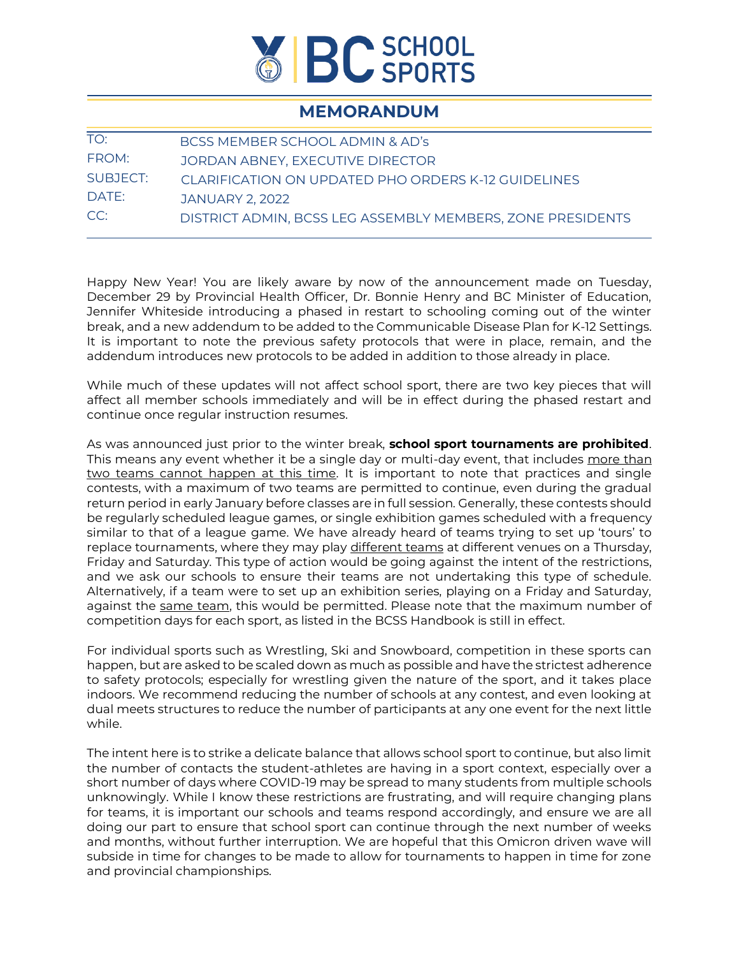

## **MEMORANDUM**

| BCSS MEMBER SCHOOL ADMIN & AD's                            |
|------------------------------------------------------------|
| JORDAN ABNEY, EXECUTIVE DIRECTOR                           |
| CLARIFICATION ON UPDATED PHO ORDERS K-12 GUIDELINES        |
| <b>JANUARY 2, 2022</b>                                     |
| DISTRICT ADMIN, BCSS LEG ASSEMBLY MEMBERS, ZONE PRESIDENTS |
|                                                            |

Happy New Year! You are likely aware by now of the announcement made on Tuesday, December 29 by Provincial Health Officer, Dr. Bonnie Henry and BC Minister of Education, Jennifer Whiteside introducing a phased in restart to schooling coming out of the winter break, and a new addendum to be added to the Communicable Disease Plan for K-12 Settings. It is important to note the previous safety protocols that were in place, remain, and the addendum introduces new protocols to be added in addition to those already in place.

While much of these updates will not affect school sport, there are two key pieces that will affect all member schools immediately and will be in effect during the phased restart and continue once regular instruction resumes.

As was announced just prior to the winter break, **school sport tournaments are prohibited**. This means any event whether it be a single day or multi-day event, that includes more than two teams cannot happen at this time. It is important to note that practices and single contests, with a maximum of two teams are permitted to continue, even during the gradual return period in early January before classes are in full session. Generally, these contests should be regularly scheduled league games, or single exhibition games scheduled with a frequency similar to that of a league game. We have already heard of teams trying to set up 'tours' to replace tournaments, where they may play different teams at different venues on a Thursday, Friday and Saturday. This type of action would be going against the intent of the restrictions, and we ask our schools to ensure their teams are not undertaking this type of schedule. Alternatively, if a team were to set up an exhibition series, playing on a Friday and Saturday, against the same team, this would be permitted. Please note that the maximum number of competition days for each sport, as listed in the BCSS Handbook is still in effect.

For individual sports such as Wrestling, Ski and Snowboard, competition in these sports can happen, but are asked to be scaled down as much as possible and have the strictest adherence to safety protocols; especially for wrestling given the nature of the sport, and it takes place indoors. We recommend reducing the number of schools at any contest, and even looking at dual meets structures to reduce the number of participants at any one event for the next little while.

The intent here is to strike a delicate balance that allows school sport to continue, but also limit the number of contacts the student-athletes are having in a sport context, especially over a short number of days where COVID-19 may be spread to many students from multiple schools unknowingly. While I know these restrictions are frustrating, and will require changing plans for teams, it is important our schools and teams respond accordingly, and ensure we are all doing our part to ensure that school sport can continue through the next number of weeks and months, without further interruption. We are hopeful that this Omicron driven wave will subside in time for changes to be made to allow for tournaments to happen in time for zone and provincial championships.